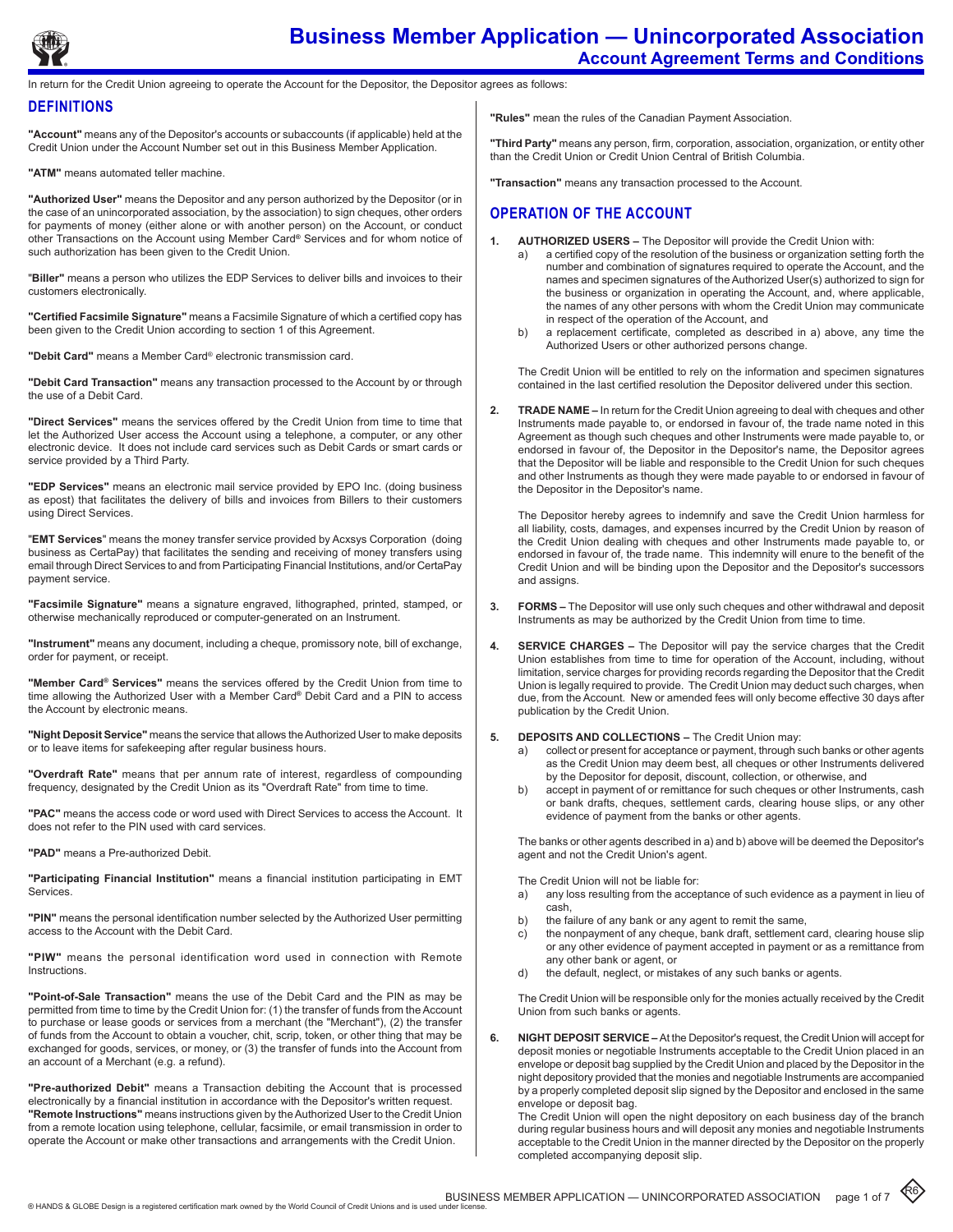

return for the Credit Union agreeing to operate the Account for the Depositor, the Depositor agrees as follows:

#### **DEFINITIONS**

**"Account"** means any of the Depositor's accounts or subaccounts (if applicable) held at the Credit Union under the Account Number set out in this Business Member Application.

**"ATM"** means automated teller machine.

**"Authorized User"** means the Depositor and any person authorized by the Depositor (or in the case of an unincorporated association, by the association) to sign cheques, other orders for payments of money (either alone or with another person) on the Account, or conduct other Transactions on the Account using Member Card**®** Services and for whom notice of such authorization has been given to the Credit Union.

"**Biller"** means a person who utilizes the EDP Services to deliver bills and invoices to their customers electronically.

**"Certified Facsimile Signature"** means a Facsimile Signature of which a certified copy has been given to the Credit Union according to section 1 of this Agreement.

**"Debit Card"** means a Member Card® electronic transmission card.

**"Debit Card Transaction"** means any transaction processed to the Account by or through the use of a Debit Card.

**"Direct Services"** means the services offered by the Credit Union from time to time that let the Authorized User access the Account using a telephone, a computer, or any other electronic device. It does not include card services such as Debit Cards or smart cards or service provided by a Third Party.

**"EDP Services"** means an electronic mail service provided by EPO Inc. (doing business as epost) that facilitates the delivery of bills and invoices from Billers to their customers using Direct Services.

"**EMT Services**" means the money transfer service provided by Acxsys Corporation (doing business as CertaPay) that facilitates the sending and receiving of money transfers using email through Direct Services to and from Participating Financial Institutions, and/or CertaPay payment service.

**"Facsimile Signature"** means a signature engraved, lithographed, printed, stamped, or otherwise mechanically reproduced or computer-generated on an Instrument.

**"Instrument"** means any document, including a cheque, promissory note, bill of exchange, order for payment, or receipt.

**"Member Card® Services"** means the services offered by the Credit Union from time to time allowing the Authorized User with a Member Card**®** Debit Card and a PIN to access the Account by electronic means.

**"Night Deposit Service"** means the service that allows the Authorized User to make deposits or to leave items for safekeeping after regular business hours.

**"Overdraft Rate"** means that per annum rate of interest, regardless of compounding frequency, designated by the Credit Union as its "Overdraft Rate" from time to time.

**"PAC"** means the access code or word used with Direct Services to access the Account. It does not refer to the PIN used with card services.

**"PAD"** means a Pre-authorized Debit.

**"Participating Financial Institution"** means a financial institution participating in EMT Services.

**"PIN"** means the personal identification number selected by the Authorized User permitting access to the Account with the Debit Card.

**"PIW"** means the personal identification word used in connection with Remote Instructions.

**"Point-of-Sale Transaction"** means the use of the Debit Card and the PIN as may be permitted from time to time by the Credit Union for: (1) the transfer of funds from the Account to purchase or lease goods or services from a merchant (the "Merchant"), (2) the transfer of funds from the Account to obtain a voucher, chit, scrip, token, or other thing that may be exchanged for goods, services, or money, or (3) the transfer of funds into the Account from an account of a Merchant (e.g. a refund).

**"Pre-authorized Debit"** means a Transaction debiting the Account that is processed electronically by a financial institution in accordance with the Depositor's written request. **"Remote Instructions"** means instructions given by the Authorized User to the Credit Union from a remote location using telephone, cellular, facsimile, or email transmission in order to operate the Account or make other transactions and arrangements with the Credit Union.

**"Rules"** mean the rules of the Canadian Payment Association.

**"Third Party"** means any person, firm, corporation, association, organization, or entity other than the Credit Union or Credit Union Central of British Columbia.

**"Transaction"** means any transaction processed to the Account.

## **Operation of the account**

- 1. **AUTHORIZED USERS –** The Depositor will provide the Credit Union with:
	- a) a certified copy of the resolution of the business or organization setting forth the number and combination of signatures required to operate the Account, and the names and specimen signatures of the Authorized User(s) authorized to sign for the business or organization in operating the Account, and, where applicable, the names of any other persons with whom the Credit Union may communicate in respect of the operation of the Account, and
	- b) a replacement certificate, completed as described in a) above, any time the Authorized Users or other authorized persons change.

The Credit Union will be entitled to rely on the information and specimen signatures contained in the last certified resolution the Depositor delivered under this section.

**2. Trade Name –** In return for the Credit Union agreeing to deal with cheques and other Instruments made payable to, or endorsed in favour of, the trade name noted in this Agreement as though such cheques and other Instruments were made payable to, or endorsed in favour of, the Depositor in the Depositor's name, the Depositor agrees that the Depositor will be liable and responsible to the Credit Union for such cheques and other Instruments as though they were made payable to or endorsed in favour of the Depositor in the Depositor's name.

The Depositor hereby agrees to indemnify and save the Credit Union harmless for all liability, costs, damages, and expenses incurred by the Credit Union by reason of the Credit Union dealing with cheques and other Instruments made payable to, or endorsed in favour of, the trade name. This indemnity will enure to the benefit of the Credit Union and will be binding upon the Depositor and the Depositor's successors and assigns.

- **3. Forms** The Depositor will use only such cheques and other withdrawal and deposit Instruments as may be authorized by the Credit Union from time to time.
- **4. Service Charges** The Depositor will pay the service charges that the Credit Union establishes from time to time for operation of the Account, including, without limitation, service charges for providing records regarding the Depositor that the Credit Union is legally required to provide. The Credit Union may deduct such charges, when due, from the Account. New or amended fees will only become effective 30 days after publication by the Credit Union.
- **5. Deposits and Collections** The Credit Union may:
	- a) collect or present for acceptance or payment, through such banks or other agents as the Credit Union may deem best, all cheques or other Instruments delivered by the Depositor for deposit, discount, collection, or otherwise, and
	- b) accept in payment of or remittance for such cheques or other Instruments, cash or bank drafts, cheques, settlement cards, clearing house slips, or any other evidence of payment from the banks or other agents.

The banks or other agents described in a) and b) above will be deemed the Depositor's agent and not the Credit Union's agent.

The Credit Union will not be liable for:

- a) any loss resulting from the acceptance of such evidence as a payment in lieu of cash,
- b) the failure of any bank or any agent to remit the same,
- c) the nonpayment of any cheque, bank draft, settlement card, clearing house slip or any other evidence of payment accepted in payment or as a remittance from any other bank or agent, or
- d) the default, neglect, or mistakes of any such banks or agents.

The Credit Union will be responsible only for the monies actually received by the Credit Union from such banks or agents.

**6. Night Deposit Service –** At the Depositor's request, the Credit Union will accept for deposit monies or negotiable Instruments acceptable to the Credit Union placed in an envelope or deposit bag supplied by the Credit Union and placed by the Depositor in the night depository provided that the monies and negotiable Instruments are accompanied by a properly completed deposit slip signed by the Depositor and enclosed in the same envelope or deposit bag.

The Credit Union will open the night depository on each business day of the branch during regular business hours and will deposit any monies and negotiable Instruments acceptable to the Credit Union in the manner directed by the Depositor on the properly completed accompanying deposit slip.

R6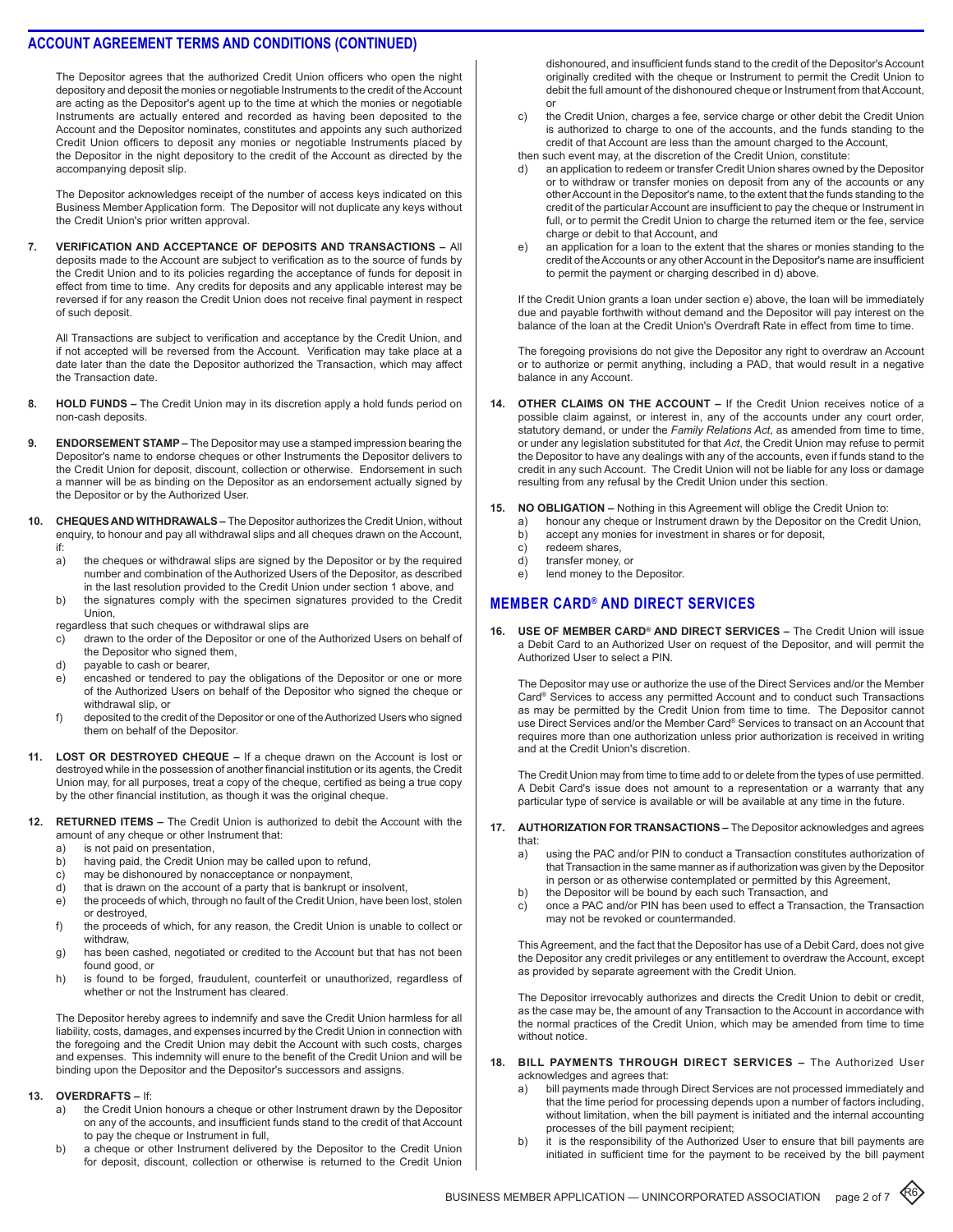The Depositor agrees that the authorized Credit Union officers who open the night depository and deposit the monies or negotiable Instruments to the credit of the Account are acting as the Depositor's agent up to the time at which the monies or negotiable Instruments are actually entered and recorded as having been deposited to the Account and the Depositor nominates, constitutes and appoints any such authorized Credit Union officers to deposit any monies or negotiable Instruments placed by the Depositor in the night depository to the credit of the Account as directed by the accompanying deposit slip.

The Depositor acknowledges receipt of the number of access keys indicated on this Business Member Application form. The Depositor will not duplicate any keys without the Credit Union's prior written approval.

**7. Verification and Acceptance of Deposits and Transactions –** All deposits made to the Account are subject to verification as to the source of funds by the Credit Union and to its policies regarding the acceptance of funds for deposit in effect from time to time. Any credits for deposits and any applicable interest may be reversed if for any reason the Credit Union does not receive final payment in respect of such deposit.

All Transactions are subject to verification and acceptance by the Credit Union, and if not accepted will be reversed from the Account. Verification may take place at a date later than the date the Depositor authorized the Transaction, which may affect the Transaction date.

- 8. **HOLD FUNDS –** The Credit Union may in its discretion apply a hold funds period on non-cash deposits.
- **ENDORSEMENT STAMP –** The Depositor may use a stamped impression bearing the Depositor's name to endorse cheques or other Instruments the Depositor delivers to the Credit Union for deposit, discount, collection or otherwise. Endorsement in such a manner will be as binding on the Depositor as an endorsement actually signed by the Depositor or by the Authorized User.
- **10. Cheques and Withdrawals** The Depositor authorizes the Credit Union, without enquiry, to honour and pay all withdrawal slips and all cheques drawn on the Account, if:
	- a) the cheques or withdrawal slips are signed by the Depositor or by the required number and combination of the Authorized Users of the Depositor, as described in the last resolution provided to the Credit Union under section 1 above, and
	- b) the signatures comply with the specimen signatures provided to the Credit **Union**
	- regardless that such cheques or withdrawal slips are
	- c) drawn to the order of the Depositor or one of the Authorized Users on behalf of the Depositor who signed them,
	- d) payable to cash or bearer,
	- e) encashed or tendered to pay the obligations of the Depositor or one or more of the Authorized Users on behalf of the Depositor who signed the cheque or withdrawal slip, or
	- f) deposited to the credit of the Depositor or one of the Authorized Users who signed them on behalf of the Depositor.
- **11. Lost or Destroyed Cheque** If a cheque drawn on the Account is lost or destroyed while in the possession of another financial institution or its agents, the Credit Union may, for all purposes, treat a copy of the cheque, certified as being a true copy by the other financial institution, as though it was the original cheque.
- **12. Returned Items** The Credit Union is authorized to debit the Account with the amount of any cheque or other Instrument that:
	- a) is not paid on presentation,
	- b) having paid, the Credit Union may be called upon to refund,
	- c) may be dishonoured by nonacceptance or nonpayment,<br>d) that is drawn on the account of a party that is bankrupt c
	- that is drawn on the account of a party that is bankrupt or insolvent,
	- e) the proceeds of which, through no fault of the Credit Union, have been lost, stolen or destroyed,
	- f) the proceeds of which, for any reason, the Credit Union is unable to collect or withdraw,
	- g) has been cashed, negotiated or credited to the Account but that has not been found good, or
	- h) is found to be forged, fraudulent, counterfeit or unauthorized, regardless of whether or not the Instrument has cleared.

The Depositor hereby agrees to indemnify and save the Credit Union harmless for all liability, costs, damages, and expenses incurred by the Credit Union in connection with the foregoing and the Credit Union may debit the Account with such costs, charges and expenses. This indemnity will enure to the benefit of the Credit Union and will be binding upon the Depositor and the Depositor's successors and assigns.

#### **13. Overdrafts –** If:

- a) the Credit Union honours a cheque or other Instrument drawn by the Depositor on any of the accounts, and insufficient funds stand to the credit of that Account to pay the cheque or Instrument in full,
- b) a cheque or other Instrument delivered by the Depositor to the Credit Union for deposit, discount, collection or otherwise is returned to the Credit Union

dishonoured, and insufficient funds stand to the credit of the Depositor's Account originally credited with the cheque or Instrument to permit the Credit Union to debit the full amount of the dishonoured cheque or Instrument from that Account, or

- c) the Credit Union, charges a fee, service charge or other debit the Credit Union is authorized to charge to one of the accounts, and the funds standing to the credit of that Account are less than the amount charged to the Account,
- then such event may, at the discretion of the Credit Union, constitute:
- d) an application to redeem or transfer Credit Union shares owned by the Depositor or to withdraw or transfer monies on deposit from any of the accounts or any other Account in the Depositor's name, to the extent that the funds standing to the credit of the particular Account are insufficient to pay the cheque or Instrument in full, or to permit the Credit Union to charge the returned item or the fee, service charge or debit to that Account, and
- e) an application for a loan to the extent that the shares or monies standing to the credit of the Accounts or any other Account in the Depositor's name are insufficient to permit the payment or charging described in d) above.

If the Credit Union grants a loan under section e) above, the loan will be immediately due and payable forthwith without demand and the Depositor will pay interest on the balance of the loan at the Credit Union's Overdraft Rate in effect from time to time.

The foregoing provisions do not give the Depositor any right to overdraw an Account or to authorize or permit anything, including a PAD, that would result in a negative balance in any Account.

- **14. Other Claims on the Account** If the Credit Union receives notice of a possible claim against, or interest in, any of the accounts under any court order, statutory demand, or under the *Family Relations Act*, as amended from time to time, or under any legislation substituted for that *Act*, the Credit Union may refuse to permit the Depositor to have any dealings with any of the accounts, even if funds stand to the credit in any such Account. The Credit Union will not be liable for any loss or damage resulting from any refusal by the Credit Union under this section.
- **15. No Obligation** Nothing in this Agreement will oblige the Credit Union to:
	- a) honour any cheque or Instrument drawn by the Depositor on the Credit Union,
	- b) accept any monies for investment in shares or for deposit,
	- c) redeem shares,<br>d) transfer monev. transfer money, or
	- e) lend money to the Depositor.

# **MEMBER Card® and direct services**

**16. Use of Member Card® and Direct Services –** The Credit Union will issue a Debit Card to an Authorized User on request of the Depositor, and will permit the Authorized User to select a PIN.

The Depositor may use or authorize the use of the Direct Services and/or the Member Card® Services to access any permitted Account and to conduct such Transactions as may be permitted by the Credit Union from time to time. The Depositor cannot use Direct Services and/or the Member Card® Services to transact on an Account that requires more than one authorization unless prior authorization is received in writing and at the Credit Union's discretion.

The Credit Union may from time to time add to or delete from the types of use permitted. A Debit Card's issue does not amount to a representation or a warranty that any particular type of service is available or will be available at any time in the future.

### **17. Authorization for Transactions –** The Depositor acknowledges and agrees that:<br>a)

- using the PAC and/or PIN to conduct a Transaction constitutes authorization of that Transaction in the same manner as if authorization was given by the Depositor in person or as otherwise contemplated or permitted by this Agreement,
- b) the Depositor will be bound by each such Transaction, and
- c) once a PAC and/or PIN has been used to effect a Transaction, the Transaction may not be revoked or countermanded.

This Agreement, and the fact that the Depositor has use of a Debit Card, does not give the Depositor any credit privileges or any entitlement to overdraw the Account, except as provided by separate agreement with the Credit Union.

The Depositor irrevocably authorizes and directs the Credit Union to debit or credit, as the case may be, the amount of any Transaction to the Account in accordance with the normal practices of the Credit Union, which may be amended from time to time without notice.

#### **18. Bill Payments through Direct Services –** The Authorized User acknowledges and agrees that:

- a) bill payments made through Direct Services are not processed immediately and that the time period for processing depends upon a number of factors including, without limitation, when the bill payment is initiated and the internal accounting processes of the bill payment recipient;
- b) it is the responsibility of the Authorized User to ensure that bill payments are initiated in sufficient time for the payment to be received by the bill payment

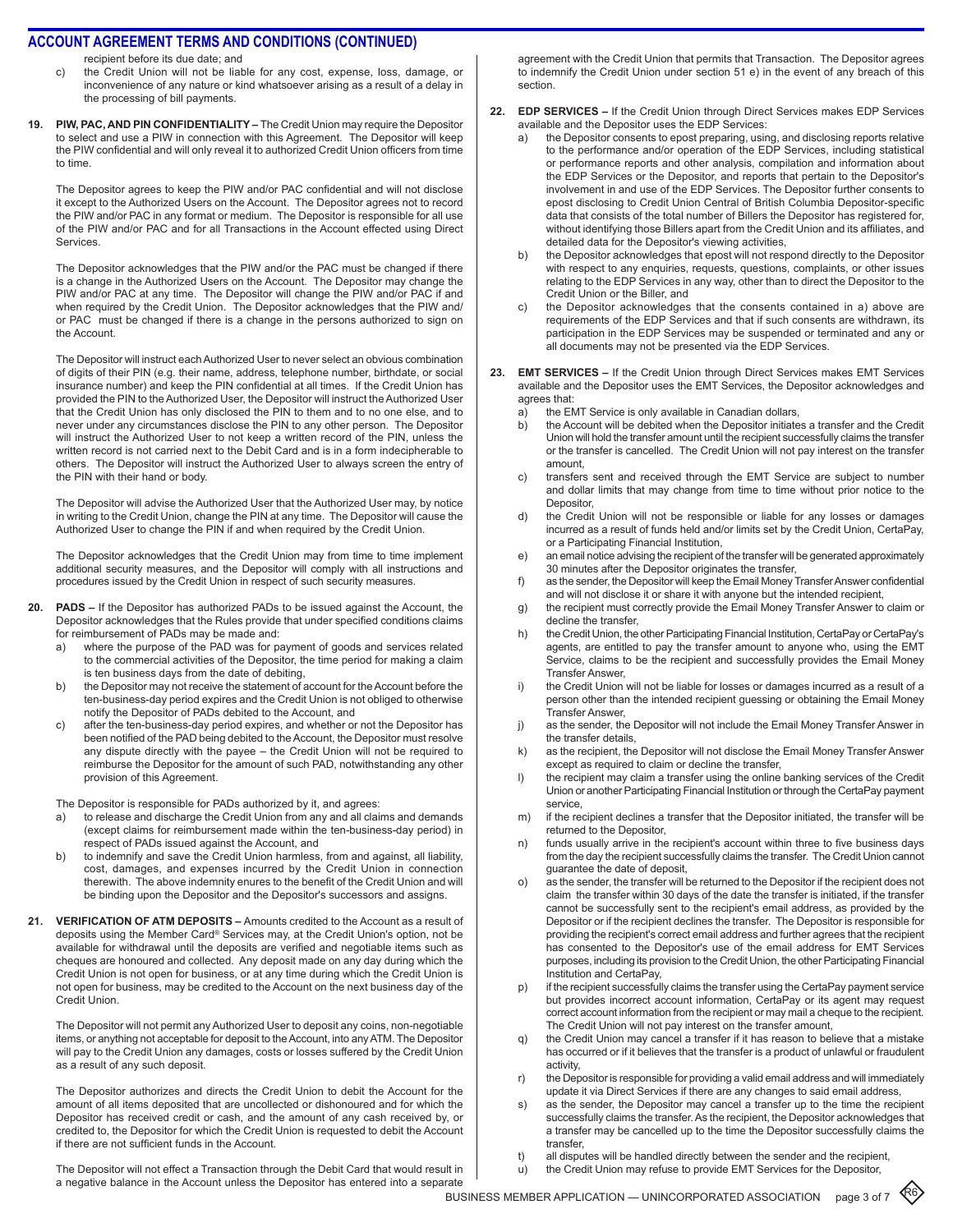recipient before its due date; and

- c) the Credit Union will not be liable for any cost, expense, loss, damage, or inconvenience of any nature or kind whatsoever arising as a result of a delay in the processing of bill payments.
- **19. PIW, PAC, and PIN Confidentiality** The Credit Union may require the Depositor to select and use a PIW in connection with this Agreement. The Depositor will keep the PIW confidential and will only reveal it to authorized Credit Union officers from time to time.

The Depositor agrees to keep the PIW and/or PAC confidential and will not disclose it except to the Authorized Users on the Account. The Depositor agrees not to record the PIW and/or PAC in any format or medium. The Depositor is responsible for all use of the PIW and/or PAC and for all Transactions in the Account effected using Direct Services.

The Depositor acknowledges that the PIW and/or the PAC must be changed if there is a change in the Authorized Users on the Account. The Depositor may change the PIW and/or PAC at any time. The Depositor will change the PIW and/or PAC if and when required by the Credit Union. The Depositor acknowledges that the PIW and/ or PAC must be changed if there is a change in the persons authorized to sign on the Account.

The Depositor will instruct each Authorized User to never select an obvious combination of digits of their PIN (e.g. their name, address, telephone number, birthdate, or social insurance number) and keep the PIN confidential at all times. If the Credit Union has provided the PIN to the Authorized User, the Depositor will instruct the Authorized User that the Credit Union has only disclosed the PIN to them and to no one else, and to never under any circumstances disclose the PIN to any other person. The Depositor will instruct the Authorized User to not keep a written record of the PIN, unless the written record is not carried next to the Debit Card and is in a form indecipherable to others. The Depositor will instruct the Authorized User to always screen the entry of the PIN with their hand or body.

The Depositor will advise the Authorized User that the Authorized User may, by notice in writing to the Credit Union, change the PIN at any time. The Depositor will cause the Authorized User to change the PIN if and when required by the Credit Union.

The Depositor acknowledges that the Credit Union may from time to time implement additional security measures, and the Depositor will comply with all instructions and procedures issued by the Credit Union in respect of such security measures.

- **20. PADs** If the Depositor has authorized PADs to be issued against the Account, the Depositor acknowledges that the Rules provide that under specified conditions claims for reimbursement of PADs may be made and:
	- a) where the purpose of the PAD was for payment of goods and services related to the commercial activities of the Depositor, the time period for making a claim is ten business days from the date of debiting,
	- b) the Depositor may not receive the statement of account for the Account before the ten-business-day period expires and the Credit Union is not obliged to otherwise notify the Depositor of PADs debited to the Account, and
	- c) after the ten-business-day period expires, and whether or not the Depositor has been notified of the PAD being debited to the Account, the Depositor must resolve any dispute directly with the payee – the Credit Union will not be required to reimburse the Depositor for the amount of such PAD, notwithstanding any other provision of this Agreement.

The Depositor is responsible for PADs authorized by it, and agrees:

- to release and discharge the Credit Union from any and all claims and demands (except claims for reimbursement made within the ten-business-day period) in respect of PADs issued against the Account, and
- b) to indemnify and save the Credit Union harmless, from and against, all liability, cost, damages, and expenses incurred by the Credit Union in connection therewith. The above indemnity enures to the benefit of the Credit Union and will be binding upon the Depositor and the Depositor's successors and assigns.
- **21. Verification of ATM Deposits** Amounts credited to the Account as a result of deposits using the Member Card® Services may, at the Credit Union's option, not be available for withdrawal until the deposits are verified and negotiable items such as cheques are honoured and collected. Any deposit made on any day during which the Credit Union is not open for business, or at any time during which the Credit Union is not open for business, may be credited to the Account on the next business day of the Credit Union.

The Depositor will not permit any Authorized User to deposit any coins, non-negotiable items, or anything not acceptable for deposit to the Account, into any ATM. The Depositor will pay to the Credit Union any damages, costs or losses suffered by the Credit Union as a result of any such deposit.

The Depositor authorizes and directs the Credit Union to debit the Account for the amount of all items deposited that are uncollected or dishonoured and for which the Depositor has received credit or cash, and the amount of any cash received by, or credited to, the Depositor for which the Credit Union is requested to debit the Account if there are not sufficient funds in the Account.

The Depositor will not effect a Transaction through the Debit Card that would result in a negative balance in the Account unless the Depositor has entered into a separate

agreement with the Credit Union that permits that Transaction. The Depositor agrees to indemnify the Credit Union under section 51 e) in the event of any breach of this section.

- **22. EDP Services** If the Credit Union through Direct Services makes EDP Services available and the Depositor uses the EDP Services:
	- a) the Depositor consents to epost preparing, using, and disclosing reports relative to the performance and/or operation of the EDP Services, including statistical or performance reports and other analysis, compilation and information about the EDP Services or the Depositor, and reports that pertain to the Depositor's involvement in and use of the EDP Services. The Depositor further consents to epost disclosing to Credit Union Central of British Columbia Depositor-specific data that consists of the total number of Billers the Depositor has registered for, without identifying those Billers apart from the Credit Union and its affiliates, and detailed data for the Depositor's viewing activities,
	- b) the Depositor acknowledges that epost will not respond directly to the Depositor with respect to any enquiries, requests, questions, complaints, or other issues relating to the EDP Services in any way, other than to direct the Depositor to the Credit Union or the Biller, and
	- c) the Depositor acknowledges that the consents contained in a) above are requirements of the EDP Services and that if such consents are withdrawn, its participation in the EDP Services may be suspended or terminated and any or all documents may not be presented via the EDP Services.
- **23. EMT Services** If the Credit Union through Direct Services makes EMT Services available and the Depositor uses the EMT Services, the Depositor acknowledges and agrees that:
	- a) the EMT Service is only available in Canadian dollars,
	- b) the Account will be debited when the Depositor initiates a transfer and the Credit Union will hold the transfer amount until the recipient successfully claims the transfer or the transfer is cancelled. The Credit Union will not pay interest on the transfer amount,
	- c) transfers sent and received through the EMT Service are subject to number and dollar limits that may change from time to time without prior notice to the **Depositor**
	- d) the Credit Union will not be responsible or liable for any losses or damages incurred as a result of funds held and/or limits set by the Credit Union, CertaPay, or a Participating Financial Institution,
	- e) an email notice advising the recipient of the transfer will be generated approximately 30 minutes after the Depositor originates the transfer,
	- f) as the sender, the Depositor will keep the Email Money Transfer Answer confidential and will not disclose it or share it with anyone but the intended recipient,
	- g) the recipient must correctly provide the Email Money Transfer Answer to claim or decline the transfer,
	- h) the Credit Union, the other Participating Financial Institution, CertaPay or CertaPay's agents, are entitled to pay the transfer amount to anyone who, using the EMT Service, claims to be the recipient and successfully provides the Email Money Transfer Answer,
	- i) the Credit Union will not be liable for losses or damages incurred as a result of a person other than the intended recipient guessing or obtaining the Email Money Transfer Answer,
	- j) as the sender, the Depositor will not include the Email Money Transfer Answer in the transfer details,
	- k) as the recipient, the Depositor will not disclose the Email Money Transfer Answer except as required to claim or decline the transfer,
	- l) the recipient may claim a transfer using the online banking services of the Credit Union or another Participating Financial Institution or through the CertaPay payment service,
	- m) if the recipient declines a transfer that the Depositor initiated, the transfer will be returned to the Depositor,
	- n) funds usually arrive in the recipient's account within three to five business days from the day the recipient successfully claims the transfer. The Credit Union cannot guarantee the date of deposit,
	- o) as the sender, the transfer will be returned to the Depositor if the recipient does not claim the transfer within 30 days of the date the transfer is initiated, if the transfer cannot be successfully sent to the recipient's email address, as provided by the Depositor or if the recipient declines the transfer. The Depositor is responsible for providing the recipient's correct email address and further agrees that the recipient has consented to the Depositor's use of the email address for EMT Services purposes, including its provision to the Credit Union, the other Participating Financial Institution and CertaPay,
	- p) if the recipient successfully claims the transfer using the CertaPay payment service but provides incorrect account information, CertaPay or its agent may request correct account information from the recipient or may mail a cheque to the recipient. The Credit Union will not pay interest on the transfer amount,
	- q) the Credit Union may cancel a transfer if it has reason to believe that a mistake has occurred or if it believes that the transfer is a product of unlawful or fraudulent activity,
	- r) the Depositor is responsible for providing a valid email address and will immediately update it via Direct Services if there are any changes to said email address,
	- s) as the sender, the Depositor may cancel a transfer up to the time the recipient successfully claims the transfer. As the recipient, the Depositor acknowledges that a transfer may be cancelled up to the time the Depositor successfully claims the transfer,
	- t) all disputes will be handled directly between the sender and the recipient,
	- u) the Credit Union may refuse to provide EMT Services for the Depositor,

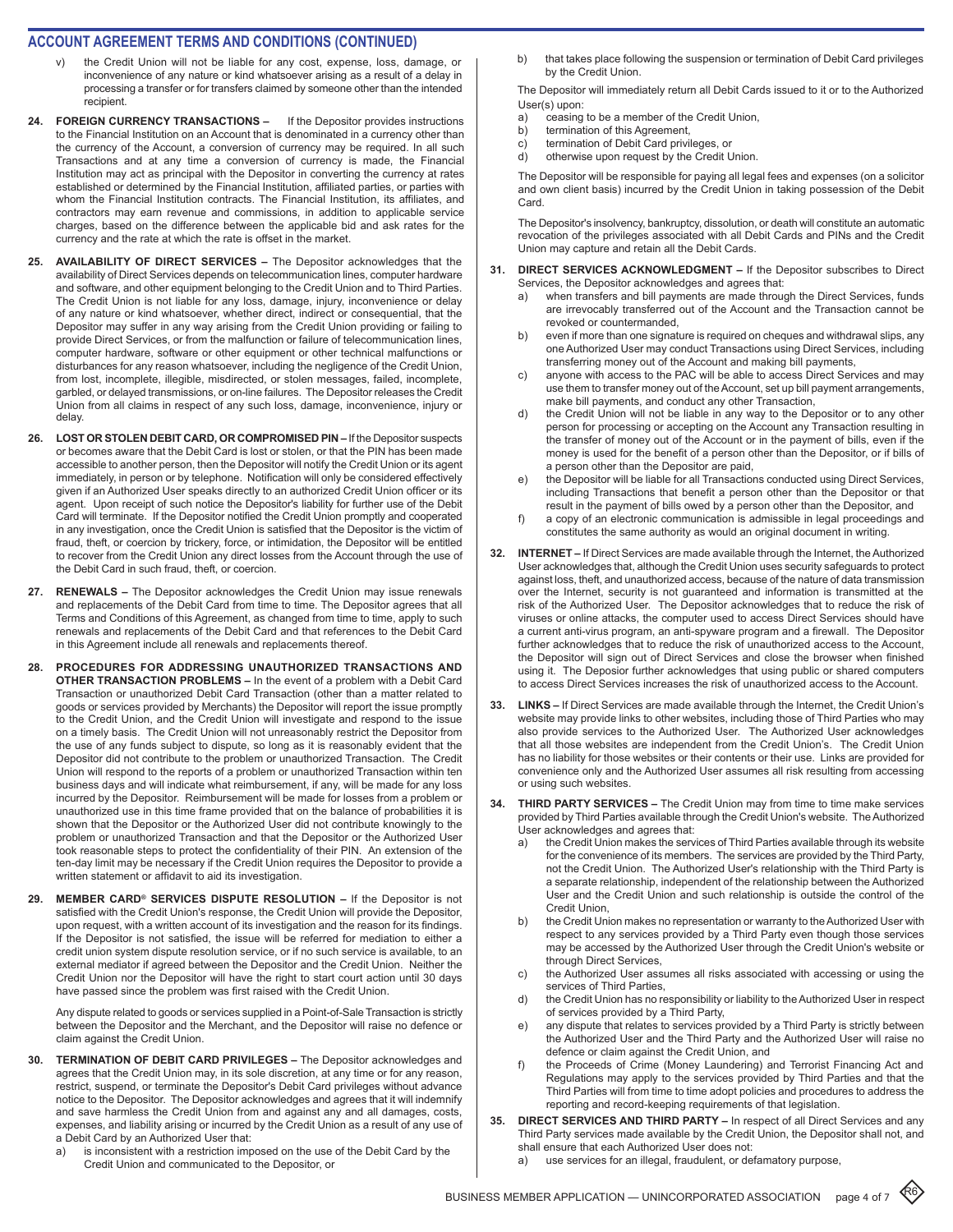### **ACCOUNT AGREEMENT TERMS AND CONDITIONS (CONTINUED)**

- the Credit Union will not be liable for any cost, expense, loss, damage, or inconvenience of any nature or kind whatsoever arising as a result of a delay in processing a transfer or for transfers claimed by someone other than the intended recipient.
- 24. **FOREIGN CURRENCY TRANSACTIONS -** If the Depositor provides instructions to the Financial Institution on an Account that is denominated in a currency other than the currency of the Account, a conversion of currency may be required. In all such Transactions and at any time a conversion of currency is made, the Financial Institution may act as principal with the Depositor in converting the currency at rates established or determined by the Financial Institution, affiliated parties, or parties with whom the Financial Institution contracts. The Financial Institution, its affiliates, and contractors may earn revenue and commissions, in addition to applicable service charges, based on the difference between the applicable bid and ask rates for the currency and the rate at which the rate is offset in the market.
- **25. AVAILABILITY OF DIRECT SERVICES** The Depositor acknowledges that the availability of Direct Services depends on telecommunication lines, computer hardware and software, and other equipment belonging to the Credit Union and to Third Parties. The Credit Union is not liable for any loss, damage, injury, inconvenience or delay of any nature or kind whatsoever, whether direct, indirect or consequential, that the Depositor may suffer in any way arising from the Credit Union providing or failing to provide Direct Services, or from the malfunction or failure of telecommunication lines, computer hardware, software or other equipment or other technical malfunctions or disturbances for any reason whatsoever, including the negligence of the Credit Union, from lost, incomplete, illegible, misdirected, or stolen messages, failed, incomplete, garbled, or delayed transmissions, or on-line failures. The Depositor releases the Credit Union from all claims in respect of any such loss, damage, inconvenience, injury or delay.
- **26. LOST OR STOLEN DEBIT CARD, OR COMPROMISED PIN** If the Depositor suspects or becomes aware that the Debit Card is lost or stolen, or that the PIN has been made accessible to another person, then the Depositor will notify the Credit Union or its agent immediately, in person or by telephone. Notification will only be considered effectively given if an Authorized User speaks directly to an authorized Credit Union officer or its agent. Upon receipt of such notice the Depositor's liability for further use of the Debit Card will terminate. If the Depositor notified the Credit Union promptly and cooperated in any investigation, once the Credit Union is satisfied that the Depositor is the victim of fraud, theft, or coercion by trickery, force, or intimidation, the Depositor will be entitled to recover from the Credit Union any direct losses from the Account through the use of the Debit Card in such fraud, theft, or coercion.
- **27. RENEWALS** The Depositor acknowledges the Credit Union may issue renewals and replacements of the Debit Card from time to time. The Depositor agrees that all Terms and Conditions of this Agreement, as changed from time to time, apply to such renewals and replacements of the Debit Card and that references to the Debit Card in this Agreement include all renewals and replacements thereof.
- **28. PROCEDURES FOR ADDRESSING UNAUTHORIZED TRANSACTIONS AND OTHER TRANSACTION PROBLEMS –** In the event of a problem with a Debit Card Transaction or unauthorized Debit Card Transaction (other than a matter related to goods or services provided by Merchants) the Depositor will report the issue promptly to the Credit Union, and the Credit Union will investigate and respond to the issue on a timely basis. The Credit Union will not unreasonably restrict the Depositor from the use of any funds subject to dispute, so long as it is reasonably evident that the Depositor did not contribute to the problem or unauthorized Transaction. The Credit Union will respond to the reports of a problem or unauthorized Transaction within ten business days and will indicate what reimbursement, if any, will be made for any loss incurred by the Depositor. Reimbursement will be made for losses from a problem or unauthorized use in this time frame provided that on the balance of probabilities it is shown that the Depositor or the Authorized User did not contribute knowingly to the problem or unauthorized Transaction and that the Depositor or the Authorized User took reasonable steps to protect the confidentiality of their PIN. An extension of the ten-day limit may be necessary if the Credit Union requires the Depositor to provide a written statement or affidavit to aid its investigation.
- **29. MEMBER CARD® SERVICES DISPUTE RESOLUTION** If the Depositor is not satisfied with the Credit Union's response, the Credit Union will provide the Depositor, upon request, with a written account of its investigation and the reason for its findings. If the Depositor is not satisfied, the issue will be referred for mediation to either a credit union system dispute resolution service, or if no such service is available, to an external mediator if agreed between the Depositor and the Credit Union. Neither the Credit Union nor the Depositor will have the right to start court action until 30 days have passed since the problem was first raised with the Credit Union.

Any dispute related to goods or services supplied in a Point-of-Sale Transaction is strictly between the Depositor and the Merchant, and the Depositor will raise no defence or claim against the Credit Union.

- **30. TERMINATION OF DEBIT CARD PRIVILEGES** The Depositor acknowledges and agrees that the Credit Union may, in its sole discretion, at any time or for any reason, restrict, suspend, or terminate the Depositor's Debit Card privileges without advance notice to the Depositor. The Depositor acknowledges and agrees that it will indemnify and save harmless the Credit Union from and against any and all damages, costs, expenses, and liability arising or incurred by the Credit Union as a result of any use of a Debit Card by an Authorized User that:
	- a) is inconsistent with a restriction imposed on the use of the Debit Card by the Credit Union and communicated to the Depositor, or

b) that takes place following the suspension or termination of Debit Card privileges by the Credit Union.

The Depositor will immediately return all Debit Cards issued to it or to the Authorized User(s) upon:

- a) ceasing to be a member of the Credit Union,
- b) termination of this Agreement,
- c) termination of Debit Card privileges, or
- d) otherwise upon request by the Credit Union.

The Depositor will be responsible for paying all legal fees and expenses (on a solicitor and own client basis) incurred by the Credit Union in taking possession of the Debit Card.

The Depositor's insolvency, bankruptcy, dissolution, or death will constitute an automatic revocation of the privileges associated with all Debit Cards and PINs and the Credit Union may capture and retain all the Debit Cards.

- **31. DIRECT SERVICES ACKNOWLEDGMENT** If the Depositor subscribes to Direct Services, the Depositor acknowledges and agrees that:
	- a) when transfers and bill payments are made through the Direct Services, funds are irrevocably transferred out of the Account and the Transaction cannot be revoked or countermanded,
	- b) even if more than one signature is required on cheques and withdrawal slips, any one Authorized User may conduct Transactions using Direct Services, including transferring money out of the Account and making bill payments,
	- c) anyone with access to the PAC will be able to access Direct Services and may use them to transfer money out of the Account, set up bill payment arrangements, make bill payments, and conduct any other Transaction,
	- d) the Credit Union will not be liable in any way to the Depositor or to any other person for processing or accepting on the Account any Transaction resulting in the transfer of money out of the Account or in the payment of bills, even if the money is used for the benefit of a person other than the Depositor, or if bills of a person other than the Depositor are paid,
	- e) the Depositor will be liable for all Transactions conducted using Direct Services, including Transactions that benefit a person other than the Depositor or that result in the payment of bills owed by a person other than the Depositor, and
	- f) a copy of an electronic communication is admissible in legal proceedings and constitutes the same authority as would an original document in writing.
- **32. INTERNET** If Direct Services are made available through the Internet, the Authorized User acknowledges that, although the Credit Union uses security safeguards to protect against loss, theft, and unauthorized access, because of the nature of data transmission over the Internet, security is not guaranteed and information is transmitted at the risk of the Authorized User. The Depositor acknowledges that to reduce the risk of viruses or online attacks, the computer used to access Direct Services should have a current anti-virus program, an anti-spyware program and a firewall. The Depositor further acknowledges that to reduce the risk of unauthorized access to the Account, the Depositor will sign out of Direct Services and close the browser when finished using it. The Deposior further acknowledges that using public or shared computers to access Direct Services increases the risk of unauthorized access to the Account.
- **33. LINKS** If Direct Services are made available through the Internet, the Credit Union's website may provide links to other websites, including those of Third Parties who may also provide services to the Authorized User. The Authorized User acknowledges that all those websites are independent from the Credit Union's. The Credit Union has no liability for those websites or their contents or their use. Links are provided for convenience only and the Authorized User assumes all risk resulting from accessing or using such websites.
- **34. THIRD PARTY SERVICES** The Credit Union may from time to time make services provided by Third Parties available through the Credit Union's website. The Authorized User acknowledges and agrees that:
	- a) the Credit Union makes the services of Third Parties available through its website for the convenience of its members. The services are provided by the Third Party, not the Credit Union. The Authorized User's relationship with the Third Party is a separate relationship, independent of the relationship between the Authorized User and the Credit Union and such relationship is outside the control of the Credit Union,
	- b) the Credit Union makes no representation or warranty to the Authorized User with respect to any services provided by a Third Party even though those services may be accessed by the Authorized User through the Credit Union's website or through Direct Services,
	- c) the Authorized User assumes all risks associated with accessing or using the services of Third Parties,
	- d) the Credit Union has no responsibility or liability to the Authorized User in respect of services provided by a Third Party,
	- e) any dispute that relates to services provided by a Third Party is strictly between the Authorized User and the Third Party and the Authorized User will raise no defence or claim against the Credit Union, and
	- f) the Proceeds of Crime (Money Laundering) and Terrorist Financing Act and Regulations may apply to the services provided by Third Parties and that the Third Parties will from time to time adopt policies and procedures to address the reporting and record-keeping requirements of that legislation.
	- **35. DIRECT SERVICES AND THIRD PARTY** In respect of all Direct Services and any Third Party services made available by the Credit Union, the Depositor shall not, and shall ensure that each Authorized User does not:
		- a) use services for an illegal, fraudulent, or defamatory purpose,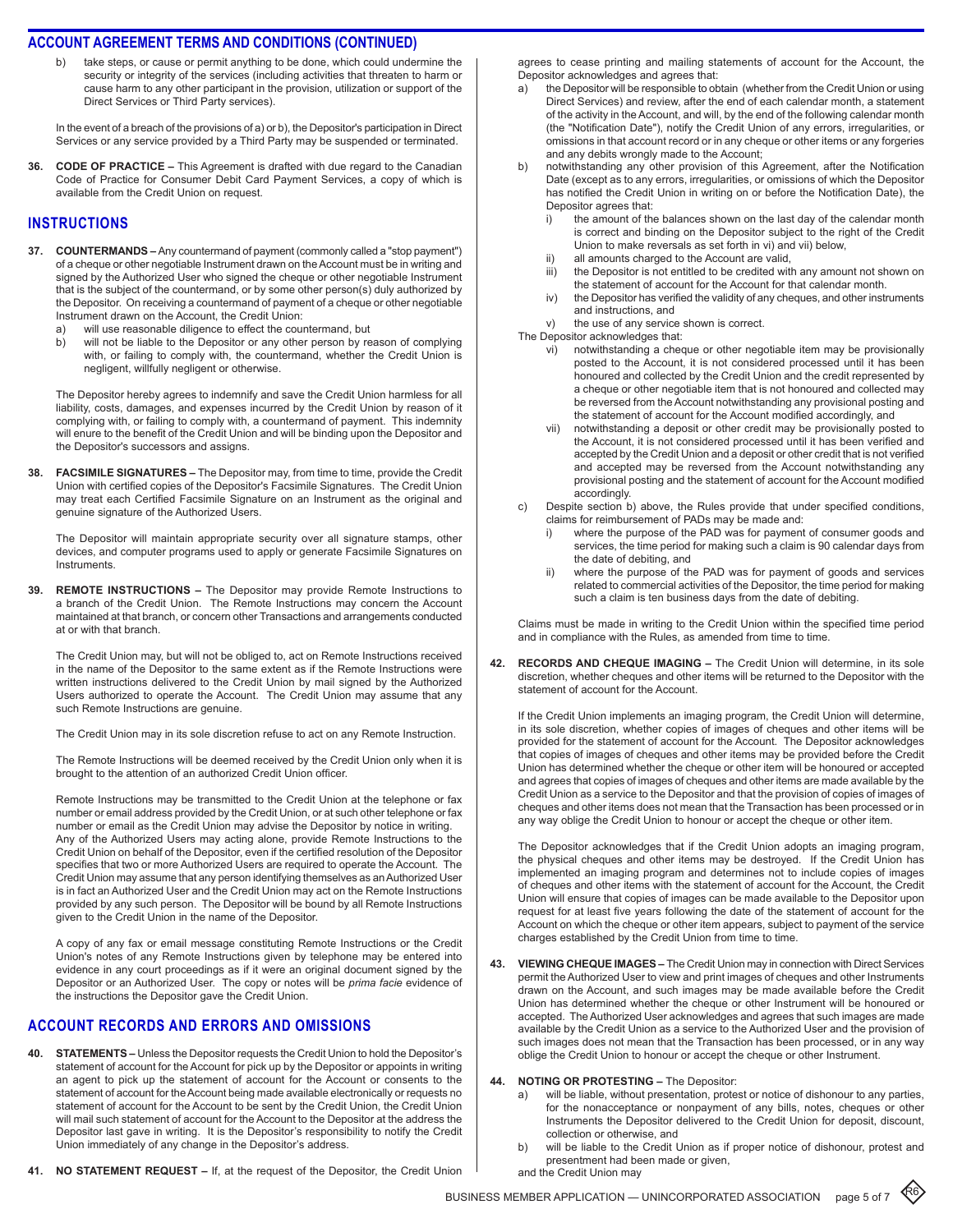take steps, or cause or permit anything to be done, which could undermine the security or integrity of the services (including activities that threaten to harm or cause harm to any other participant in the provision, utilization or support of the Direct Services or Third Party services).

In the event of a breach of the provisions of a) or b), the Depositor's participation in Direct Services or any service provided by a Third Party may be suspended or terminated.

**36. Code of Practice –** This Agreement is drafted with due regard to the Canadian Code of Practice for Consumer Debit Card Payment Services, a copy of which is available from the Credit Union on request.

#### **instructions**

- **37. Countermands** Any countermand of payment (commonly called a "stop payment") of a cheque or other negotiable Instrument drawn on the Account must be in writing and signed by the Authorized User who signed the cheque or other negotiable Instrument that is the subject of the countermand, or by some other person(s) duly authorized by the Depositor. On receiving a countermand of payment of a cheque or other negotiable Instrument drawn on the Account, the Credit Union:
	- a) will use reasonable diligence to effect the countermand, but
	- b) will not be liable to the Depositor or any other person by reason of complying with, or failing to comply with, the countermand, whether the Credit Union is negligent, willfully negligent or otherwise.

The Depositor hereby agrees to indemnify and save the Credit Union harmless for all liability, costs, damages, and expenses incurred by the Credit Union by reason of it complying with, or failing to comply with, a countermand of payment. This indemnity will enure to the benefit of the Credit Union and will be binding upon the Depositor and the Depositor's successors and assigns.

**38. Facsimile Signatures –** The Depositor may, from time to time, provide the Credit Union with certified copies of the Depositor's Facsimile Signatures. The Credit Union may treat each Certified Facsimile Signature on an Instrument as the original and genuine signature of the Authorized Users.

The Depositor will maintain appropriate security over all signature stamps, other devices, and computer programs used to apply or generate Facsimile Signatures on **Instruments** 

**39. Remote Instructions –** The Depositor may provide Remote Instructions to a branch of the Credit Union. The Remote Instructions may concern the Account maintained at that branch, or concern other Transactions and arrangements conducted at or with that branch.

The Credit Union may, but will not be obliged to, act on Remote Instructions received in the name of the Depositor to the same extent as if the Remote Instructions were written instructions delivered to the Credit Union by mail signed by the Authorized Users authorized to operate the Account. The Credit Union may assume that any such Remote Instructions are genuine.

The Credit Union may in its sole discretion refuse to act on any Remote Instruction.

The Remote Instructions will be deemed received by the Credit Union only when it is brought to the attention of an authorized Credit Union officer.

Remote Instructions may be transmitted to the Credit Union at the telephone or fax number or email address provided by the Credit Union, or at such other telephone or fax number or email as the Credit Union may advise the Depositor by notice in writing. Any of the Authorized Users may acting alone, provide Remote Instructions to the Credit Union on behalf of the Depositor, even if the certified resolution of the Depositor specifies that two or more Authorized Users are required to operate the Account. The Credit Union may assume that any person identifying themselves as an Authorized User is in fact an Authorized User and the Credit Union may act on the Remote Instructions provided by any such person. The Depositor will be bound by all Remote Instructions given to the Credit Union in the name of the Depositor.

A copy of any fax or email message constituting Remote Instructions or the Credit Union's notes of any Remote Instructions given by telephone may be entered into evidence in any court proceedings as if it were an original document signed by the Depositor or an Authorized User. The copy or notes will be *prima facie* evidence of the instructions the Depositor gave the Credit Union.

#### **account records and errors and omissions**

- **40. Statements** Unless the Depositor requests the Credit Union to hold the Depositor's statement of account for the Account for pick up by the Depositor or appoints in writing an agent to pick up the statement of account for the Account or consents to the statement of account for the Account being made available electronically or requests no statement of account for the Account to be sent by the Credit Union, the Credit Union will mail such statement of account for the Account to the Depositor at the address the Depositor last gave in writing. It is the Depositor's responsibility to notify the Credit Union immediately of any change in the Depositor's address.
- **41. No Statement Request** If, at the request of the Depositor, the Credit Union

agrees to cease printing and mailing statements of account for the Account, the Depositor acknowledges and agrees that:

- a) the Depositor will be responsible to obtain (whether from the Credit Union or using Direct Services) and review, after the end of each calendar month, a statement of the activity in the Account, and will, by the end of the following calendar month (the "Notification Date"), notify the Credit Union of any errors, irregularities, or omissions in that account record or in any cheque or other items or any forgeries and any debits wrongly made to the Account;
- b) notwithstanding any other provision of this Agreement, after the Notification Date (except as to any errors, irregularities, or omissions of which the Depositor has notified the Credit Union in writing on or before the Notification Date), the Depositor agrees that:<br>i) the amount of the
	- the amount of the balances shown on the last day of the calendar month is correct and binding on the Depositor subject to the right of the Credit Union to make reversals as set forth in vi) and vii) below,
	- ii) all amounts charged to the Account are valid,<br>iii) the Depositor is not entitled to be credited with
	- the Depositor is not entitled to be credited with any amount not shown on the statement of account for the Account for that calendar month.
	- iv) the Depositor has verified the validity of any cheques, and other instruments and instructions, and
	- v) the use of any service shown is correct.
- The Depositor acknowledges that:
	- vi) notwithstanding a cheque or other negotiable item may be provisionally posted to the Account, it is not considered processed until it has been honoured and collected by the Credit Union and the credit represented by a cheque or other negotiable item that is not honoured and collected may be reversed from the Account notwithstanding any provisional posting and the statement of account for the Account modified accordingly, and
	- vii) notwithstanding a deposit or other credit may be provisionally posted to the Account, it is not considered processed until it has been verified and accepted by the Credit Union and a deposit or other credit that is not verified and accepted may be reversed from the Account notwithstanding any provisional posting and the statement of account for the Account modified accordingly.
- c) Despite section b) above, the Rules provide that under specified conditions, claims for reimbursement of PADs may be made and:
	- i) where the purpose of the PAD was for payment of consumer goods and services, the time period for making such a claim is 90 calendar days from the date of debiting, and
	- ii) where the purpose of the PAD was for payment of goods and services related to commercial activities of the Depositor, the time period for making such a claim is ten business days from the date of debiting.

Claims must be made in writing to the Credit Union within the specified time period and in compliance with the Rules, as amended from time to time.

**42. Records and Cheque Imaging –** The Credit Union will determine, in its sole discretion, whether cheques and other items will be returned to the Depositor with the statement of account for the Account.

If the Credit Union implements an imaging program, the Credit Union will determine, in its sole discretion, whether copies of images of cheques and other items will be provided for the statement of account for the Account. The Depositor acknowledges that copies of images of cheques and other items may be provided before the Credit Union has determined whether the cheque or other item will be honoured or accepted and agrees that copies of images of cheques and other items are made available by the Credit Union as a service to the Depositor and that the provision of copies of images of cheques and other items does not mean that the Transaction has been processed or in any way oblige the Credit Union to honour or accept the cheque or other item.

The Depositor acknowledges that if the Credit Union adopts an imaging program, the physical cheques and other items may be destroyed. If the Credit Union has implemented an imaging program and determines not to include copies of images of cheques and other items with the statement of account for the Account, the Credit Union will ensure that copies of images can be made available to the Depositor upon request for at least five years following the date of the statement of account for the Account on which the cheque or other item appears, subject to payment of the service charges established by the Credit Union from time to time.

- **43. Viewing Cheque Images** The Credit Union may in connection with Direct Services permit the Authorized User to view and print images of cheques and other Instruments drawn on the Account, and such images may be made available before the Credit Union has determined whether the cheque or other Instrument will be honoured or accepted. The Authorized User acknowledges and agrees that such images are made available by the Credit Union as a service to the Authorized User and the provision of such images does not mean that the Transaction has been processed, or in any way oblige the Credit Union to honour or accept the cheque or other Instrument.
- **44. Noting or Protesting** The Depositor:
	- a) will be liable, without presentation, protest or notice of dishonour to any parties, for the nonacceptance or nonpayment of any bills, notes, cheques or other Instruments the Depositor delivered to the Credit Union for deposit, discount, collection or otherwise, and
	- b) will be liable to the Credit Union as if proper notice of dishonour, protest and presentment had been made or given,

and the Credit Union may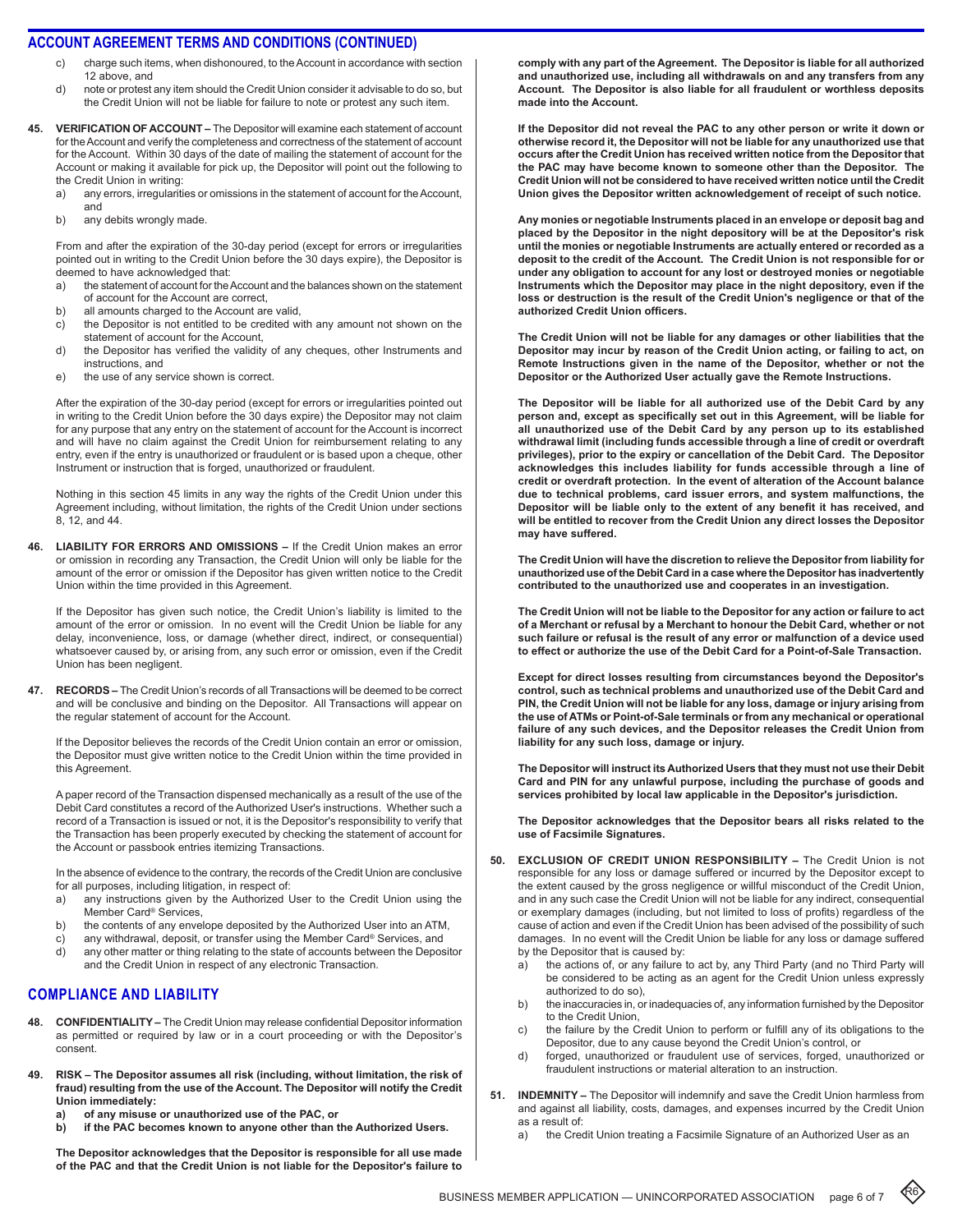- charge such items, when dishonoured, to the Account in accordance with section 12 above, and
- d) note or protest any item should the Credit Union consider it advisable to do so, but the Credit Union will not be liable for failure to note or protest any such item.
- **45. Verification of Account** The Depositor will examine each statement of account for the Account and verify the completeness and correctness of the statement of account for the Account. Within 30 days of the date of mailing the statement of account for the Account or making it available for pick up, the Depositor will point out the following to the Credit Union in writing:
	- a) any errors, irregularities or omissions in the statement of account for the Account, and
	- b) any debits wrongly made.

From and after the expiration of the 30-day period (except for errors or irregularities pointed out in writing to the Credit Union before the 30 days expire), the Depositor is deemed to have acknowledged that:

- a) the statement of account for the Account and the balances shown on the statement of account for the Account are correct,
- b) all amounts charged to the Account are valid,<br>c) the Depositor is not entitled to be credited w
- the Depositor is not entitled to be credited with any amount not shown on the statement of account for the Account,
- d) the Depositor has verified the validity of any cheques, other Instruments and instructions, and
- e) the use of any service shown is correct.

After the expiration of the 30-day period (except for errors or irregularities pointed out in writing to the Credit Union before the 30 days expire) the Depositor may not claim for any purpose that any entry on the statement of account for the Account is incorrect and will have no claim against the Credit Union for reimbursement relating to any entry, even if the entry is unauthorized or fraudulent or is based upon a cheque, other Instrument or instruction that is forged, unauthorized or fraudulent.

Nothing in this section 45 limits in any way the rights of the Credit Union under this Agreement including, without limitation, the rights of the Credit Union under sections 8, 12, and 44.

**46. Liability for Errors and Omissions –** If the Credit Union makes an error or omission in recording any Transaction, the Credit Union will only be liable for the amount of the error or omission if the Depositor has given written notice to the Credit Union within the time provided in this Agreement.

If the Depositor has given such notice, the Credit Union's liability is limited to the amount of the error or omission. In no event will the Credit Union be liable for any delay, inconvenience, loss, or damage (whether direct, indirect, or consequential) whatsoever caused by, or arising from, any such error or omission, even if the Credit Union has been negligent.

**47. Records –** The Credit Union's records of all Transactions will be deemed to be correct and will be conclusive and binding on the Depositor. All Transactions will appear on the regular statement of account for the Account.

If the Depositor believes the records of the Credit Union contain an error or omission, the Depositor must give written notice to the Credit Union within the time provided in this Agreement.

A paper record of the Transaction dispensed mechanically as a result of the use of the Debit Card constitutes a record of the Authorized User's instructions. Whether such a record of a Transaction is issued or not, it is the Depositor's responsibility to verify that the Transaction has been properly executed by checking the statement of account for the Account or passbook entries itemizing Transactions.

In the absence of evidence to the contrary, the records of the Credit Union are conclusive for all purposes, including litigation, in respect of:

- a) any instructions given by the Authorized User to the Credit Union using the Member Card® Services,
- b) the contents of any envelope deposited by the Authorized User into an ATM,
- c) any withdrawal, deposit, or transfer using the Member Card® Services, and
- d) any other matter or thing relating to the state of accounts between the Depositor and the Credit Union in respect of any electronic Transaction.

#### **compliance anD liability**

- **48. Confidentiality** The Credit Union may release confidential Depositor information as permitted or required by law or in a court proceeding or with the Depositor's consent.
- **49. Risk The Depositor assumes all risk (including, without limitation, the risk of fraud) resulting from the use of the Account. The Depositor will notify the Credit Union immediately:**
	- **a) of any misuse or unauthorized use of the PAC, or**
	- **b) if the PAC becomes known to anyone other than the Authorized Users.**

**The Depositor acknowledges that the Depositor is responsible for all use made of the PAC and that the Credit Union is not liable for the Depositor's failure to** 

**comply with any part of the Agreement. The Depositor is liable for all authorized and unauthorized use, including all withdrawals on and any transfers from any Account. The Depositor is also liable for all fraudulent or worthless deposits made into the Account.**

**If the Depositor did not reveal the PAC to any other person or write it down or otherwise record it, the Depositor will not be liable for any unauthorized use that occurs after the Credit Union has received written notice from the Depositor that the PAC may have become known to someone other than the Depositor. The Credit Union will not be considered to have received written notice until the Credit Union gives the Depositor written acknowledgement of receipt of such notice.**

**Any monies or negotiable Instruments placed in an envelope or deposit bag and placed by the Depositor in the night depository will be at the Depositor's risk until the monies or negotiable Instruments are actually entered or recorded as a deposit to the credit of the Account. The Credit Union is not responsible for or under any obligation to account for any lost or destroyed monies or negotiable Instruments which the Depositor may place in the night depository, even if the loss or destruction is the result of the Credit Union's negligence or that of the authorized Credit Union officers.**

**The Credit Union will not be liable for any damages or other liabilities that the Depositor may incur by reason of the Credit Union acting, or failing to act, on Remote Instructions given in the name of the Depositor, whether or not the Depositor or the Authorized User actually gave the Remote Instructions.**

**The Depositor will be liable for all authorized use of the Debit Card by any person and, except as specifically set out in this Agreement, will be liable for all unauthorized use of the Debit Card by any person up to its established withdrawal limit (including funds accessible through a line of credit or overdraft privileges), prior to the expiry or cancellation of the Debit Card. The Depositor acknowledges this includes liability for funds accessible through a line of credit or overdraft protection. In the event of alteration of the Account balance due to technical problems, card issuer errors, and system malfunctions, the Depositor will be liable only to the extent of any benefit it has received, and will be entitled to recover from the Credit Union any direct losses the Depositor may have suffered.**

**The Credit Union will have the discretion to relieve the Depositor from liability for unauthorized use of the Debit Card in a case where the Depositor has inadvertently contributed to the unauthorized use and cooperates in an investigation.**

**The Credit Union will not be liable to the Depositor for any action or failure to act of a Merchant or refusal by a Merchant to honour the Debit Card, whether or not such failure or refusal is the result of any error or malfunction of a device used to effect or authorize the use of the Debit Card for a Point-of-Sale Transaction.**

**Except for direct losses resulting from circumstances beyond the Depositor's control, such as technical problems and unauthorized use of the Debit Card and PIN, the Credit Union will not be liable for any loss, damage or injury arising from the use of ATMs or Point-of-Sale terminals or from any mechanical or operational failure of any such devices, and the Depositor releases the Credit Union from liability for any such loss, damage or injury.**

**The Depositor will instruct its Authorized Users that they must not use their Debit Card and PIN for any unlawful purpose, including the purchase of goods and services prohibited by local law applicable in the Depositor's jurisdiction.**

**The Depositor acknowledges that the Depositor bears all risks related to the use of Facsimile Signatures.**

- **50. Exclusion of Credit Union Responsibility** The Credit Union is not responsible for any loss or damage suffered or incurred by the Depositor except to the extent caused by the gross negligence or willful misconduct of the Credit Union, and in any such case the Credit Union will not be liable for any indirect, consequential or exemplary damages (including, but not limited to loss of profits) regardless of the cause of action and even if the Credit Union has been advised of the possibility of such damages. In no event will the Credit Union be liable for any loss or damage suffered by the Depositor that is caused by:
	- a) the actions of, or any failure to act by, any Third Party (and no Third Party will be considered to be acting as an agent for the Credit Union unless expressly authorized to do so),
	- b) the inaccuracies in, or inadequacies of, any information furnished by the Depositor to the Credit Union,
	- c) the failure by the Credit Union to perform or fulfill any of its obligations to the Depositor, due to any cause beyond the Credit Union's control, or
	- d) forged, unauthorized or fraudulent use of services, forged, unauthorized or fraudulent instructions or material alteration to an instruction.
- **51. Indemnity** The Depositor will indemnify and save the Credit Union harmless from and against all liability, costs, damages, and expenses incurred by the Credit Union as a result of:
	- a) the Credit Union treating a Facsimile Signature of an Authorized User as an